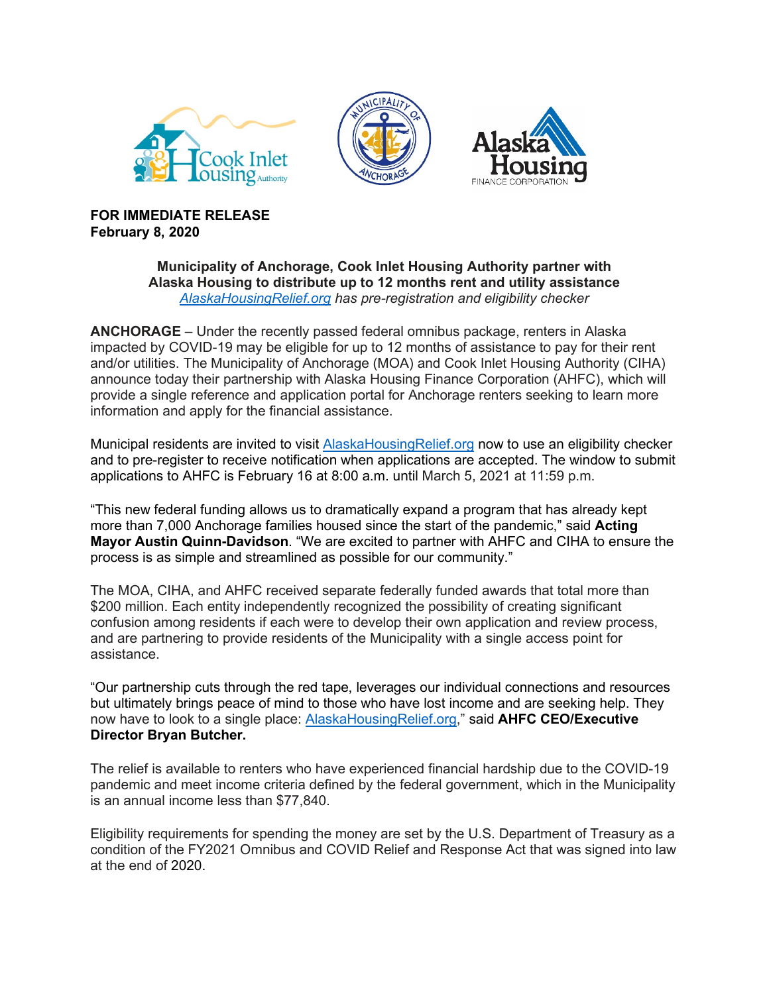





**FOR IMMEDIATE RELEASE February 8, 2020**

## **Municipality of Anchorage, Cook Inlet Housing Authority partner with Alaska Housing to distribute up to 12 months rent and utility assistance** *[AlaskaHousingRelief.org](http://www.alaskahousingrelief.org/) has pre-registration and eligibility checker*

**ANCHORAGE** – Under the recently passed federal omnibus package, renters in Alaska impacted by COVID-19 may be eligible for up to 12 months of assistance to pay for their rent and/or utilities. The Municipality of Anchorage (MOA) and Cook Inlet Housing Authority (CIHA) announce today their partnership with Alaska Housing Finance Corporation (AHFC), which will provide a single reference and application portal for Anchorage renters seeking to learn more information and apply for the financial assistance.

Municipal residents are invited to visit [AlaskaHousingRelief.org](http://www.alaskahousingrelief.org/) now to use an eligibility checker and to pre-register to receive notification when applications are accepted. The window to submit applications to AHFC is February 16 at 8:00 a.m. until March 5, 2021 at 11:59 p.m.

"This new federal funding allows us to dramatically expand a program that has already kept more than 7,000 Anchorage families housed since the start of the pandemic," said **Acting Mayor Austin Quinn-Davidson**. "We are excited to partner with AHFC and CIHA to ensure the process is as simple and streamlined as possible for our community."

The MOA, CIHA, and AHFC received separate federally funded awards that total more than \$200 million. Each entity independently recognized the possibility of creating significant confusion among residents if each were to develop their own application and review process, and are partnering to provide residents of the Municipality with a single access point for assistance.

"Our partnership cuts through the red tape, leverages our individual connections and resources but ultimately brings peace of mind to those who have lost income and are seeking help. They now have to look to a single place: [AlaskaHousingRelief.org,](http://www.alaskahousingrelief.org/)" said **AHFC CEO/Executive Director Bryan Butcher.**

The relief is available to renters who have experienced financial hardship due to the COVID-19 pandemic and meet income criteria defined by the federal government, which in the Municipality is an annual income less than \$77,840.

Eligibility requirements for spending the money are set by the U.S. Department of Treasury as a condition of the FY2021 Omnibus and COVID Relief and Response Act that was signed into law at the end of 2020.